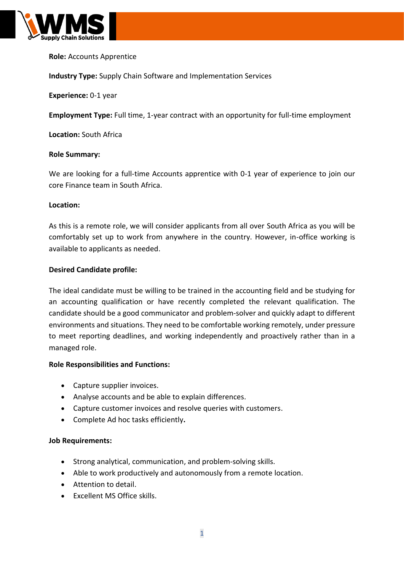

# **Role:** Accounts Apprentice

**Industry Type:** Supply Chain Software and Implementation Services

**Experience:** 0-1 year

**Employment Type:** Full time, 1-year contract with an opportunity for full-time employment

**Location:** South Africa

#### **Role Summary:**

We are looking for a full-time Accounts apprentice with 0-1 year of experience to join our core Finance team in South Africa.

#### **Location:**

As this is a remote role, we will consider applicants from all over South Africa as you will be comfortably set up to work from anywhere in the country. However, in-office working is available to applicants as needed.

## **Desired Candidate profile:**

The ideal candidate must be willing to be trained in the accounting field and be studying for an accounting qualification or have recently completed the relevant qualification. The candidate should be a good communicator and problem-solver and quickly adapt to different environments and situations. They need to be comfortable working remotely, under pressure to meet reporting deadlines, and working independently and proactively rather than in a managed role.

## **Role Responsibilities and Functions:**

- Capture supplier invoices.
- Analyse accounts and be able to explain differences.
- Capture customer invoices and resolve queries with customers.
- Complete Ad hoc tasks efficiently**.**

## **Job Requirements:**

- Strong analytical, communication, and problem-solving skills.
- Able to work productively and autonomously from a remote location.
- Attention to detail.
- Excellent MS Office skills.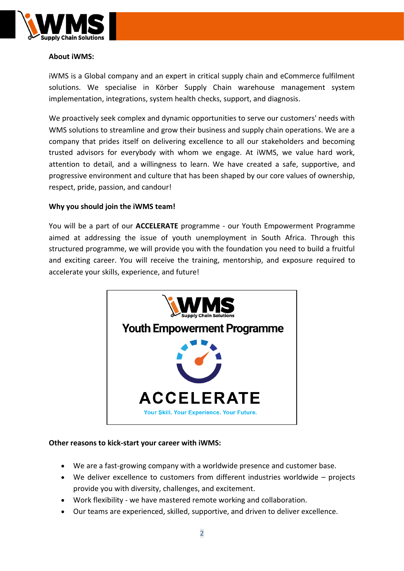

# **About iWMS:**

iWMS is a Global company and an expert in critical supply chain and eCommerce fulfilment solutions. We specialise in Körber Supply Chain warehouse management system implementation, integrations, system health checks, support, and diagnosis.

We proactively seek complex and dynamic opportunities to serve our customers' needs with WMS solutions to streamline and grow their business and supply chain operations. We are a company that prides itself on delivering excellence to all our stakeholders and becoming trusted advisors for everybody with whom we engage. At iWMS, we value hard work, attention to detail, and a willingness to learn. We have created a safe, supportive, and progressive environment and culture that has been shaped by our core values of ownership, respect, pride, passion, and candour!

# **Why you should join the iWMS team!**

You will be a part of our **ACCELERATE** programme - our Youth Empowerment Programme aimed at addressing the issue of youth unemployment in South Africa. Through this structured programme, we will provide you with the foundation you need to build a fruitful and exciting career. You will receive the training, mentorship, and exposure required to accelerate your skills, experience, and future!



# **Other reasons to kick-start your career with iWMS:**

- We are a fast-growing company with a worldwide presence and customer base.
- We deliver excellence to customers from different industries worldwide projects provide you with diversity, challenges, and excitement.
- Work flexibility we have mastered remote working and collaboration.
- Our teams are experienced, skilled, supportive, and driven to deliver excellence.